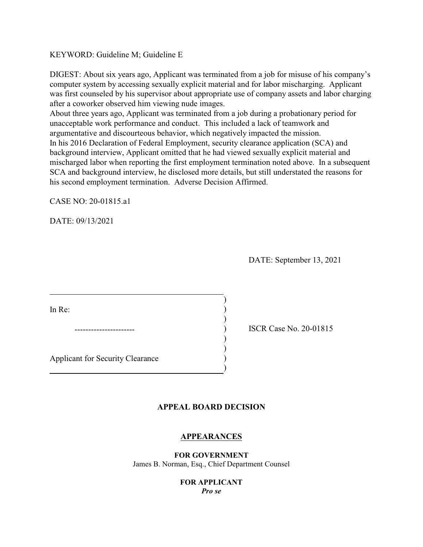## KEYWORD: Guideline M; Guideline E

DIGEST: About six years ago, Applicant was terminated from a job for misuse of his company's computer system by accessing sexually explicit material and for labor mischarging. Applicant was first counseled by his supervisor about appropriate use of company assets and labor charging after a coworker observed him viewing nude images.

About three years ago, Applicant was terminated from a job during a probationary period for unacceptable work performance and conduct. This included a lack of teamwork and argumentative and discourteous behavior, which negatively impacted the mission. In his 2016 Declaration of Federal Employment, security clearance application (SCA) and background interview, Applicant omitted that he had viewed sexually explicit material and mischarged labor when reporting the first employment termination noted above. In a subsequent SCA and background interview, he disclosed more details, but still understated the reasons for his second employment termination. Adverse Decision Affirmed.

CASE NO: 20-01815.a1

DATE: 09/13/2021

DATE: September 13, 2021

In Re: (a) and  $\overline{a}$  (b) and  $\overline{b}$  (c) and  $\overline{b}$  (c) and  $\overline{b}$  (c) and  $\overline{b}$  (c) and  $\overline{b}$  (c) and  $\overline{b}$  (c) and  $\overline{b}$  (c) and  $\overline{b}$  (c) and  $\overline{b}$  (c) and  $\overline{b}$  (c) and  $\overline{b}$  (c) and  $\over$ 

Applicant for Security Clearance )

---------------------- ) ISCR Case No. 20-01815

### **APPEAL BOARD DECISION**

)

)<br>)

) )

)

### **APPEARANCES**

**FOR GOVERNMENT**  James B. Norman, Esq., Chief Department Counsel

### **FOR APPLICANT**  *Pro se*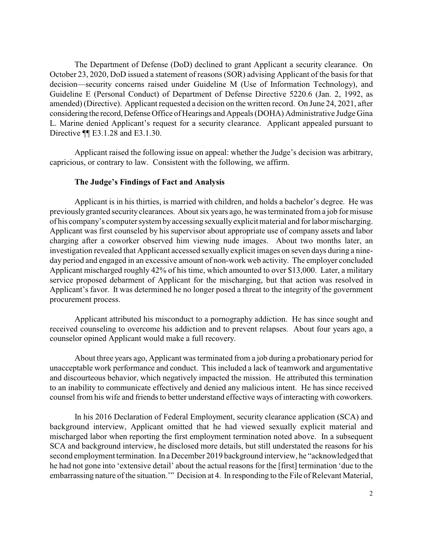The Department of Defense (DoD) declined to grant Applicant a security clearance. On October 23, 2020, DoD issued a statement of reasons (SOR) advising Applicant of the basis for that amended) (Directive). Applicant requested a decision on the written record. On June 24, 2021, after considering the record, Defense Office of Hearings and Appeals (DOHA) Administrative Judge Gina L. Marine denied Applicant's request for a security clearance. Applicant appealed pursuant to decision—security concerns raised under Guideline M (Use of Information Technology), and Guideline E (Personal Conduct) of Department of Defense Directive 5220.6 (Jan. 2, 1992, as Directive ¶¶ E3.1.28 and E3.1.30.

 Applicant raised the following issue on appeal: whether the Judge's decision was arbitrary, capricious, or contrary to law. Consistent with the following, we affirm.

#### **The Judge's Findings of Fact and Analysis**

 Applicant is in his thirties, is married with children, and holds a bachelor's degree. He was previously granted security clearances. About six years ago, he was terminated from a job for misuse Applicant was first counseled by his supervisor about appropriate use of company assets and labor charging after a coworker observed him viewing nude images. About two months later, an investigation revealed that Applicant accessed sexually explicit images on seven days during a nine- day period and engaged in an excessive amount of non-work web activity. The employer concluded service proposed debarment of Applicant for the mischarging, but that action was resolved in Applicant's favor. It was determined he no longer posed a threat to the integrity of the government of his company's computer system by accessing sexually explicit material and for labor mischarging. Applicant mischarged roughly 42% of his time, which amounted to over \$13,000. Later, a military procurement process.

 Applicant attributed his misconduct to a pornography addiction. He has since sought and received counseling to overcome his addiction and to prevent relapses. About four years ago, a counselor opined Applicant would make a full recovery.

 About three years ago, Applicant was terminated from a job during a probationary period for unacceptable work performance and conduct. This included a lack of teamwork and argumentative and discourteous behavior, which negatively impacted the mission. He attributed this termination to an inability to communicate effectively and denied any malicious intent. He has since received counsel from his wife and friends to better understand effective ways of interacting with coworkers.

 mischarged labor when reporting the first employment termination noted above. In a subsequent second employment termination. In a December 2019 background interview, he "acknowledged that he had not gone into 'extensive detail' about the actual reasons for the [first] termination 'due to the embarrassing nature of the situation.'" Decision at 4. In responding to the File of Relevant Material, In his 2016 Declaration of Federal Employment, security clearance application (SCA) and background interview, Applicant omitted that he had viewed sexually explicit material and SCA and background interview, he disclosed more details, but still understated the reasons for his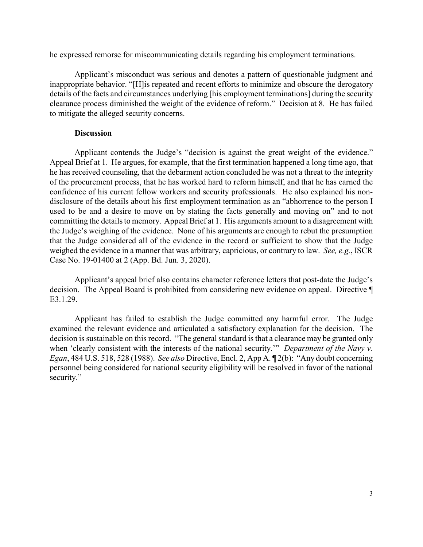he expressed remorse for miscommunicating details regarding his employment terminations.

 details of the facts and circumstances underlying [his employment terminations] during the security Applicant's misconduct was serious and denotes a pattern of questionable judgment and inappropriate behavior. "[H]is repeated and recent efforts to minimize and obscure the derogatory clearance process diminished the weight of the evidence of reform." Decision at 8. He has failed to mitigate the alleged security concerns.

## **Discussion**

 Appeal Brief at 1. He argues, for example, that the first termination happened a long time ago, that confidence of his current fellow workers and security professionals. He also explained his non- used to be and a desire to move on by stating the facts generally and moving on" and to not committing the details to memory. Appeal Brief at 1. His arguments amount to a disagreement with the Judge's weighing of the evidence. None of his arguments are enough to rebut the presumption weighed the evidence in a manner that was arbitrary, capricious, or contrary to law. *See, e.g.*, ISCR Applicant contends the Judge's "decision is against the great weight of the evidence." he has received counseling, that the debarment action concluded he was not a threat to the integrity of the procurement process, that he has worked hard to reform himself, and that he has earned the disclosure of the details about his first employment termination as an "abhorrence to the person I that the Judge considered all of the evidence in the record or sufficient to show that the Judge Case No. 19-01400 at 2 (App. Bd. Jun. 3, 2020).

 decision. The Appeal Board is prohibited from considering new evidence on appeal. Directive ¶ Applicant's appeal brief also contains character reference letters that post-date the Judge's E3.1.29.

 decision is sustainable on this record. "The general standard is that a clearance may be granted only when 'clearly consistent with the interests of the national security.'" *Department of the Navy v. Egan*, 484 U.S. 518, 528 (1988). *See also* Directive, Encl. 2, App A. ¶ 2(b): "Any doubt concerning personnel being considered for national security eligibility will be resolved in favor of the national Applicant has failed to establish the Judge committed any harmful error. The Judge examined the relevant evidence and articulated a satisfactory explanation for the decision. The security."